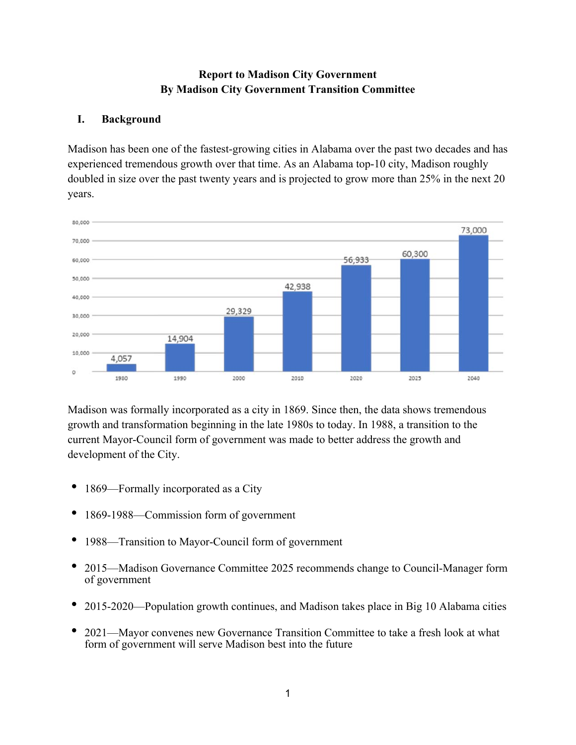## **Report to Madison City Government By Madison City Government Transition Committee**

## **I. Background**

Madison has been one of the fastest-growing cities in Alabama over the past two decades and has experienced tremendous growth over that time. As an Alabama top-10 city, Madison roughly doubled in size over the past twenty years and is projected to grow more than 25% in the next 20 years.



Madison was formally incorporated as a city in 1869. Since then, the data shows tremendous growth and transformation beginning in the late 1980s to today. In 1988, a transition to the current Mayor-Council form of government was made to better address the growth and development of the City.

- 1869—Formally incorporated as a City
- 1869-1988—Commission form of government
- 1988—Transition to Mayor-Council form of government
- 2015—Madison Governance Committee 2025 recommends change to Council-Manager form of government
- 2015-2020—Population growth continues, and Madison takes place in Big 10 Alabama cities
- 2021—Mayor convenes new Governance Transition Committee to take a fresh look at what form of government will serve Madison best into the future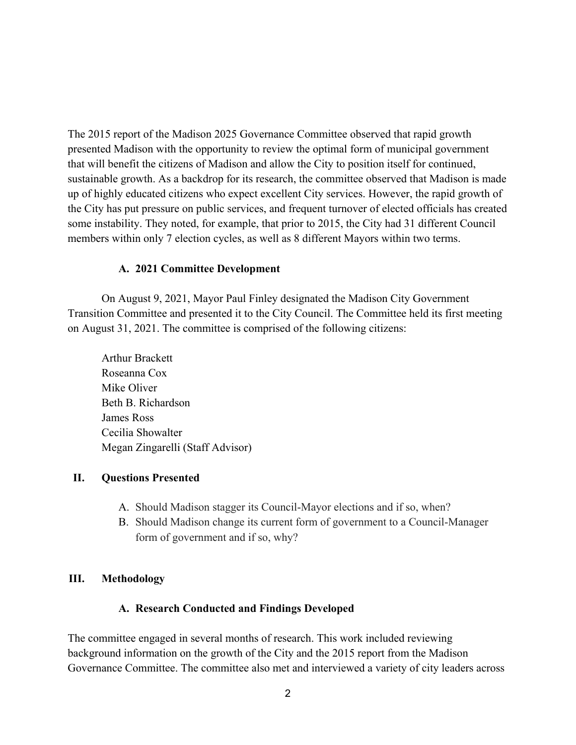The 2015 report of the Madison 2025 Governance Committee observed that rapid growth presented Madison with the opportunity to review the optimal form of municipal government that will benefit the citizens of Madison and allow the City to position itself for continued, sustainable growth. As a backdrop for its research, the committee observed that Madison is made up of highly educated citizens who expect excellent City services. However, the rapid growth of the City has put pressure on public services, and frequent turnover of elected officials has created some instability. They noted, for example, that prior to 2015, the City had 31 different Council members within only 7 election cycles, as well as 8 different Mayors within two terms.

#### **A. 2021 Committee Development**

 On August 9, 2021, Mayor Paul Finley designated the Madison City Government Transition Committee and presented it to the City Council. The Committee held its first meeting on August 31, 2021. The committee is comprised of the following citizens:

 Arthur Brackett Roseanna Cox Mike Oliver Beth B. Richardson James Ross Cecilia Showalter Megan Zingarelli (Staff Advisor)

#### **II. Questions Presented**

- A. Should Madison stagger its Council-Mayor elections and if so, when?
- B. Should Madison change its current form of government to a Council-Manager form of government and if so, why?

### **III. Methodology**

#### **A. Research Conducted and Findings Developed**

The committee engaged in several months of research. This work included reviewing background information on the growth of the City and the 2015 report from the Madison Governance Committee. The committee also met and interviewed a variety of city leaders across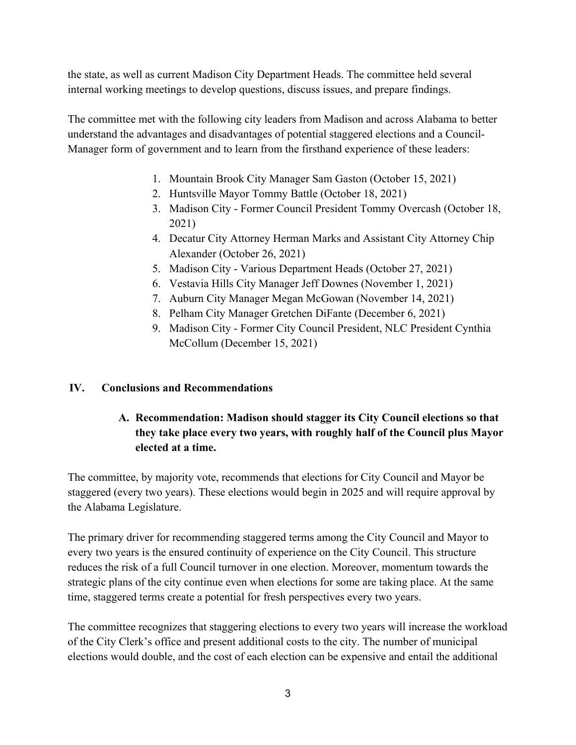the state, as well as current Madison City Department Heads. The committee held several internal working meetings to develop questions, discuss issues, and prepare findings.

The committee met with the following city leaders from Madison and across Alabama to better understand the advantages and disadvantages of potential staggered elections and a Council-Manager form of government and to learn from the firsthand experience of these leaders:

- 1. Mountain Brook City Manager Sam Gaston (October 15, 2021)
- 2. Huntsville Mayor Tommy Battle (October 18, 2021)
- 3. Madison City Former Council President Tommy Overcash (October 18, 2021)
- 4. Decatur City Attorney Herman Marks and Assistant City Attorney Chip Alexander (October 26, 2021)
- 5. Madison City Various Department Heads (October 27, 2021)
- 6. Vestavia Hills City Manager Jeff Downes (November 1, 2021)
- 7. Auburn City Manager Megan McGowan (November 14, 2021)
- 8. Pelham City Manager Gretchen DiFante (December 6, 2021)
- 9. Madison City Former City Council President, NLC President Cynthia McCollum (December 15, 2021)

### **IV. Conclusions and Recommendations**

# **A. Recommendation: Madison should stagger its City Council elections so that they take place every two years, with roughly half of the Council plus Mayor elected at a time.**

The committee, by majority vote, recommends that elections for City Council and Mayor be staggered (every two years). These elections would begin in 2025 and will require approval by the Alabama Legislature.

The primary driver for recommending staggered terms among the City Council and Mayor to every two years is the ensured continuity of experience on the City Council. This structure reduces the risk of a full Council turnover in one election. Moreover, momentum towards the strategic plans of the city continue even when elections for some are taking place. At the same time, staggered terms create a potential for fresh perspectives every two years.

The committee recognizes that staggering elections to every two years will increase the workload of the City Clerk's office and present additional costs to the city. The number of municipal elections would double, and the cost of each election can be expensive and entail the additional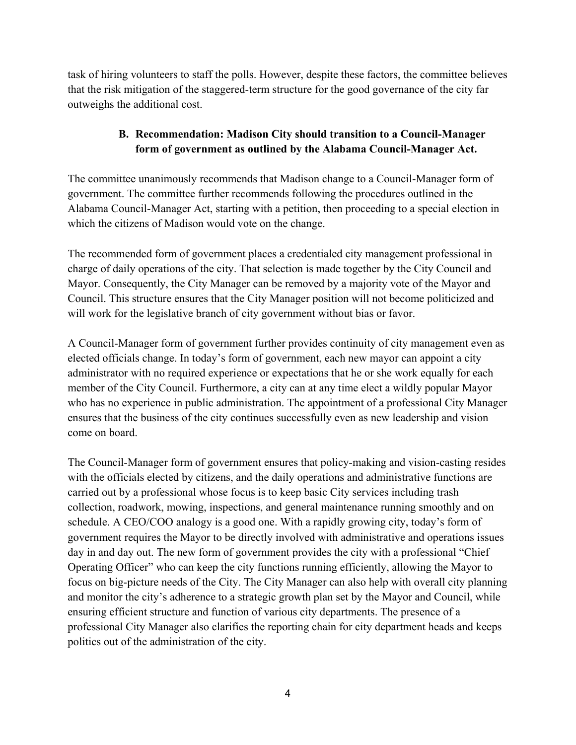task of hiring volunteers to staff the polls. However, despite these factors, the committee believes that the risk mitigation of the staggered-term structure for the good governance of the city far outweighs the additional cost.

## **B. Recommendation: Madison City should transition to a Council-Manager form of government as outlined by the Alabama Council-Manager Act.**

The committee unanimously recommends that Madison change to a Council-Manager form of government. The committee further recommends following the procedures outlined in the Alabama Council-Manager Act, starting with a petition, then proceeding to a special election in which the citizens of Madison would vote on the change.

The recommended form of government places a credentialed city management professional in charge of daily operations of the city. That selection is made together by the City Council and Mayor. Consequently, the City Manager can be removed by a majority vote of the Mayor and Council. This structure ensures that the City Manager position will not become politicized and will work for the legislative branch of city government without bias or favor.

A Council-Manager form of government further provides continuity of city management even as elected officials change. In today's form of government, each new mayor can appoint a city administrator with no required experience or expectations that he or she work equally for each member of the City Council. Furthermore, a city can at any time elect a wildly popular Mayor who has no experience in public administration. The appointment of a professional City Manager ensures that the business of the city continues successfully even as new leadership and vision come on board.

The Council-Manager form of government ensures that policy-making and vision-casting resides with the officials elected by citizens, and the daily operations and administrative functions are carried out by a professional whose focus is to keep basic City services including trash collection, roadwork, mowing, inspections, and general maintenance running smoothly and on schedule. A CEO/COO analogy is a good one. With a rapidly growing city, today's form of government requires the Mayor to be directly involved with administrative and operations issues day in and day out. The new form of government provides the city with a professional "Chief Operating Officer" who can keep the city functions running efficiently, allowing the Mayor to focus on big-picture needs of the City. The City Manager can also help with overall city planning and monitor the city's adherence to a strategic growth plan set by the Mayor and Council, while ensuring efficient structure and function of various city departments. The presence of a professional City Manager also clarifies the reporting chain for city department heads and keeps politics out of the administration of the city.